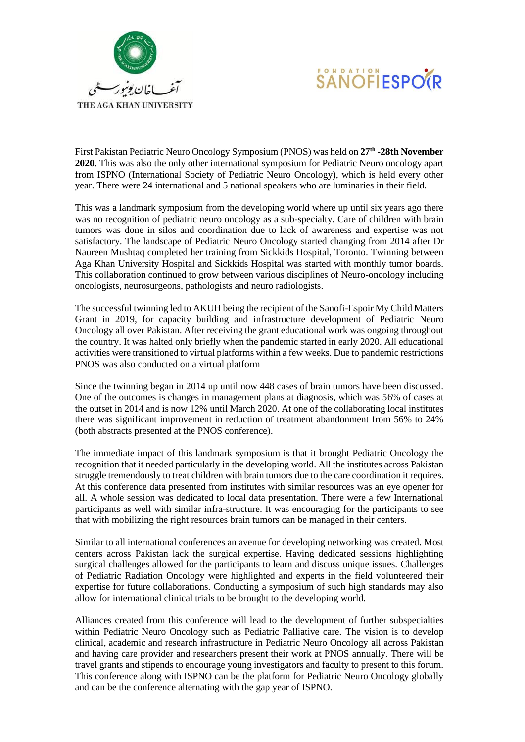



First Pakistan Pediatric Neuro Oncology Symposium (PNOS) was held on **27th -28th November 2020.** This was also the only other international symposium for Pediatric Neuro oncology apart from ISPNO (International Society of Pediatric Neuro Oncology), which is held every other year. There were 24 international and 5 national speakers who are luminaries in their field.

This was a landmark symposium from the developing world where up until six years ago there was no recognition of pediatric neuro oncology as a sub-specialty. Care of children with brain tumors was done in silos and coordination due to lack of awareness and expertise was not satisfactory. The landscape of Pediatric Neuro Oncology started changing from 2014 after Dr Naureen Mushtaq completed her training from Sickkids Hospital, Toronto. Twinning between Aga Khan University Hospital and Sickkids Hospital was started with monthly tumor boards. This collaboration continued to grow between various disciplines of Neuro-oncology including oncologists, neurosurgeons, pathologists and neuro radiologists.

The successful twinning led to AKUH being the recipient of the Sanofi-Espoir My Child Matters Grant in 2019, for capacity building and infrastructure development of Pediatric Neuro Oncology all over Pakistan. After receiving the grant educational work was ongoing throughout the country. It was halted only briefly when the pandemic started in early 2020. All educational activities were transitioned to virtual platforms within a few weeks. Due to pandemic restrictions PNOS was also conducted on a virtual platform

Since the twinning began in 2014 up until now 448 cases of brain tumors have been discussed. One of the outcomes is changes in management plans at diagnosis, which was 56% of cases at the outset in 2014 and is now 12% until March 2020. At one of the collaborating local institutes there was significant improvement in reduction of treatment abandonment from 56% to 24% (both abstracts presented at the PNOS conference).

The immediate impact of this landmark symposium is that it brought Pediatric Oncology the recognition that it needed particularly in the developing world. All the institutes across Pakistan struggle tremendously to treat children with brain tumors due to the care coordination it requires. At this conference data presented from institutes with similar resources was an eye opener for all. A whole session was dedicated to local data presentation. There were a few International participants as well with similar infra-structure. It was encouraging for the participants to see that with mobilizing the right resources brain tumors can be managed in their centers.

Similar to all international conferences an avenue for developing networking was created. Most centers across Pakistan lack the surgical expertise. Having dedicated sessions highlighting surgical challenges allowed for the participants to learn and discuss unique issues. Challenges of Pediatric Radiation Oncology were highlighted and experts in the field volunteered their expertise for future collaborations. Conducting a symposium of such high standards may also allow for international clinical trials to be brought to the developing world.

Alliances created from this conference will lead to the development of further subspecialties within Pediatric Neuro Oncology such as Pediatric Palliative care. The vision is to develop clinical, academic and research infrastructure in Pediatric Neuro Oncology all across Pakistan and having care provider and researchers present their work at PNOS annually. There will be travel grants and stipends to encourage young investigators and faculty to present to this forum. This conference along with ISPNO can be the platform for Pediatric Neuro Oncology globally and can be the conference alternating with the gap year of ISPNO.